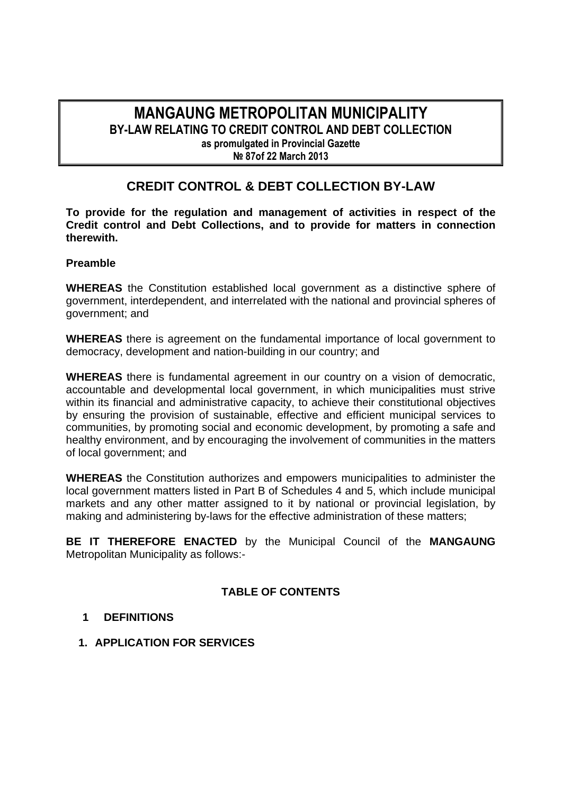## **MANGAUNG METROPOLITAN MUNICIPALITY BY-LAW RELATING TO CREDIT CONTROL AND DEBT COLLECTION as promulgated in Provincial Gazette № 87of 22 March 2013**

# **CREDIT CONTROL & DEBT COLLECTION BY-LAW**

**To provide for the regulation and management of activities in respect of the Credit control and Debt Collections, and to provide for matters in connection therewith.** 

#### **Preamble**

**WHEREAS** the Constitution established local government as a distinctive sphere of government, interdependent, and interrelated with the national and provincial spheres of government; and

**WHEREAS** there is agreement on the fundamental importance of local government to democracy, development and nation-building in our country; and

**WHEREAS** there is fundamental agreement in our country on a vision of democratic, accountable and developmental local government, in which municipalities must strive within its financial and administrative capacity, to achieve their constitutional objectives by ensuring the provision of sustainable, effective and efficient municipal services to communities, by promoting social and economic development, by promoting a safe and healthy environment, and by encouraging the involvement of communities in the matters of local government; and

**WHEREAS** the Constitution authorizes and empowers municipalities to administer the local government matters listed in Part B of Schedules 4 and 5, which include municipal markets and any other matter assigned to it by national or provincial legislation, by making and administering by-laws for the effective administration of these matters;

**BE IT THEREFORE ENACTED** by the Municipal Council of the **MANGAUNG**  Metropolitan Municipality as follows:-

## **TABLE OF CONTENTS**

#### **1 DEFINITIONS**

**1. APPLICATION FOR SERVICES**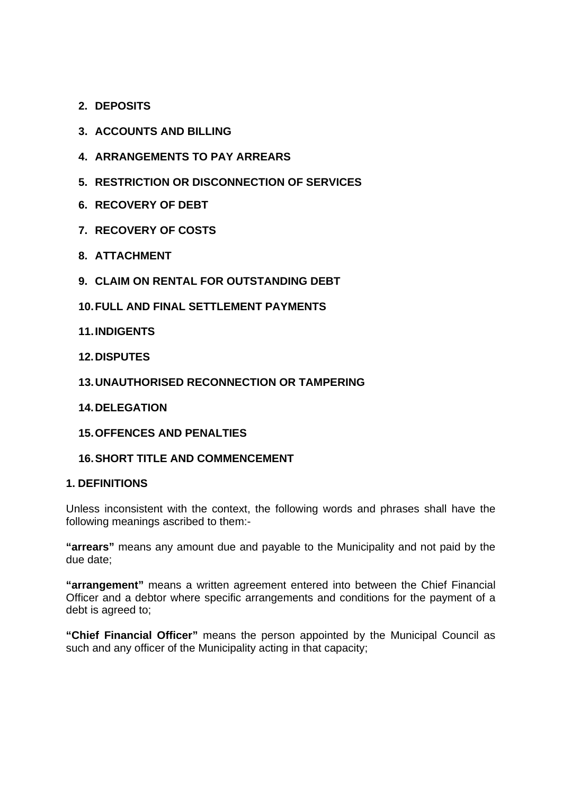- **2. DEPOSITS**
- **3. ACCOUNTS AND BILLING**
- **4. ARRANGEMENTS TO PAY ARREARS**
- **5. RESTRICTION OR DISCONNECTION OF SERVICES**
- **6. RECOVERY OF DEBT**
- **7. RECOVERY OF COSTS**
- **8. ATTACHMENT**
- **9. CLAIM ON RENTAL FOR OUTSTANDING DEBT**
- **10. FULL AND FINAL SETTLEMENT PAYMENTS**
- **11. INDIGENTS**
- **12. DISPUTES**
- **13. UNAUTHORISED RECONNECTION OR TAMPERING**
- **14. DELEGATION**
- **15. OFFENCES AND PENALTIES**
- **16. SHORT TITLE AND COMMENCEMENT**

#### **1. DEFINITIONS**

Unless inconsistent with the context, the following words and phrases shall have the following meanings ascribed to them:-

**"arrears"** means any amount due and payable to the Municipality and not paid by the due date;

**"arrangement"** means a written agreement entered into between the Chief Financial Officer and a debtor where specific arrangements and conditions for the payment of a debt is agreed to;

**"Chief Financial Officer"** means the person appointed by the Municipal Council as such and any officer of the Municipality acting in that capacity;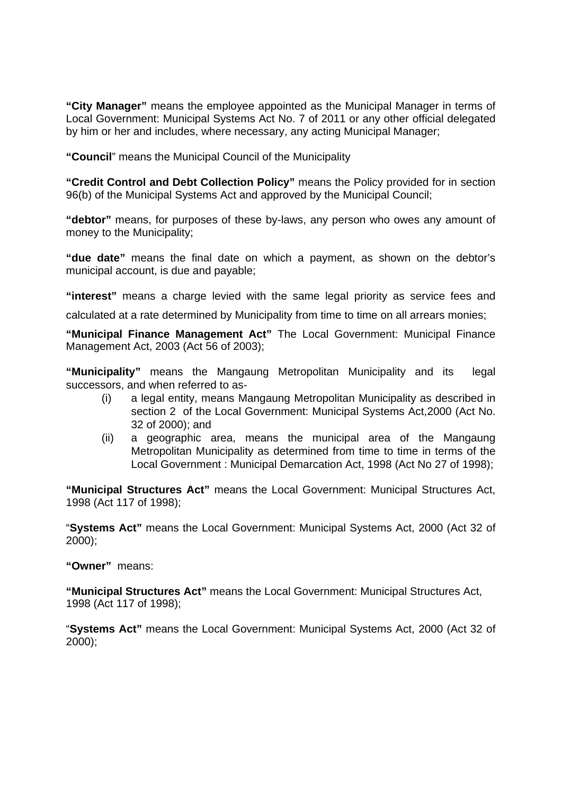**"City Manager"** means the employee appointed as the Municipal Manager in terms of Local Government: Municipal Systems Act No. 7 of 2011 or any other official delegated by him or her and includes, where necessary, any acting Municipal Manager;

**"Council**" means the Municipal Council of the Municipality

**"Credit Control and Debt Collection Policy"** means the Policy provided for in section 96(b) of the Municipal Systems Act and approved by the Municipal Council;

**"debtor"** means, for purposes of these by-laws, any person who owes any amount of money to the Municipality;

**"due date"** means the final date on which a payment, as shown on the debtor's municipal account, is due and payable;

**"interest"** means a charge levied with the same legal priority as service fees and

calculated at a rate determined by Municipality from time to time on all arrears monies;

**"Municipal Finance Management Act"** The Local Government: Municipal Finance Management Act, 2003 (Act 56 of 2003);

**"Municipality"** means the Mangaung Metropolitan Municipality and its legal successors, and when referred to as-

- (i) a legal entity, means Mangaung Metropolitan Municipality as described in section 2 of the Local Government: Municipal Systems Act,2000 (Act No. 32 of 2000); and
- (ii) a geographic area, means the municipal area of the Mangaung Metropolitan Municipality as determined from time to time in terms of the Local Government : Municipal Demarcation Act, 1998 (Act No 27 of 1998);

**"Municipal Structures Act"** means the Local Government: Municipal Structures Act, 1998 (Act 117 of 1998);

"**Systems Act"** means the Local Government: Municipal Systems Act, 2000 (Act 32 of 2000);

**"Owner"** means:

**"Municipal Structures Act"** means the Local Government: Municipal Structures Act, 1998 (Act 117 of 1998);

"**Systems Act"** means the Local Government: Municipal Systems Act, 2000 (Act 32 of 2000);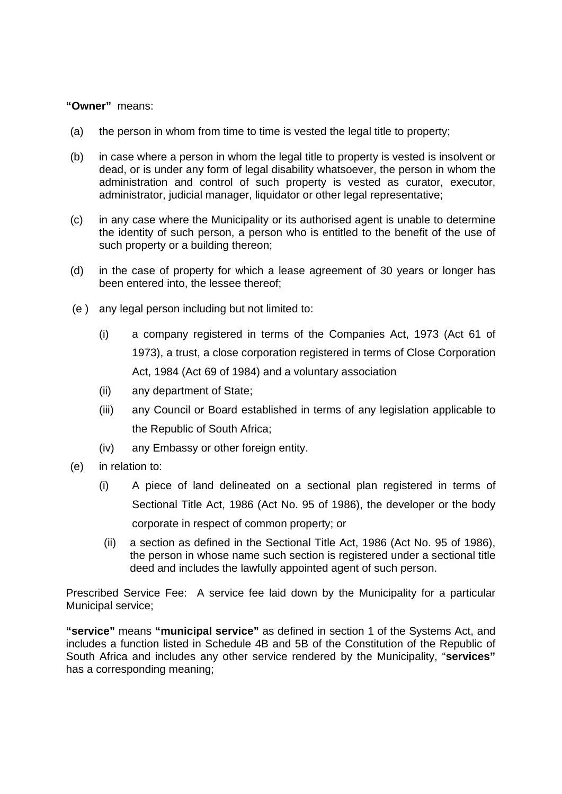#### **"Owner"** means:

- (a) the person in whom from time to time is vested the legal title to property;
- (b) in case where a person in whom the legal title to property is vested is insolvent or dead, or is under any form of legal disability whatsoever, the person in whom the administration and control of such property is vested as curator, executor, administrator, judicial manager, liquidator or other legal representative;
- (c) in any case where the Municipality or its authorised agent is unable to determine the identity of such person, a person who is entitled to the benefit of the use of such property or a building thereon;
- (d) in the case of property for which a lease agreement of 30 years or longer has been entered into, the lessee thereof;
- (e ) any legal person including but not limited to:
	- (i) a company registered in terms of the Companies Act, 1973 (Act 61 of 1973), a trust, a close corporation registered in terms of Close Corporation Act, 1984 (Act 69 of 1984) and a voluntary association
	- (ii) any department of State;
	- (iii) any Council or Board established in terms of any legislation applicable to the Republic of South Africa;
	- (iv) any Embassy or other foreign entity.
- (e) in relation to:
	- (i) A piece of land delineated on a sectional plan registered in terms of Sectional Title Act, 1986 (Act No. 95 of 1986), the developer or the body corporate in respect of common property; or
	- (ii) a section as defined in the Sectional Title Act, 1986 (Act No. 95 of 1986), the person in whose name such section is registered under a sectional title deed and includes the lawfully appointed agent of such person.

Prescribed Service Fee: A service fee laid down by the Municipality for a particular Municipal service;

**"service"** means **"municipal service"** as defined in section 1 of the Systems Act, and includes a function listed in Schedule 4B and 5B of the Constitution of the Republic of South Africa and includes any other service rendered by the Municipality, "**services"**  has a corresponding meaning;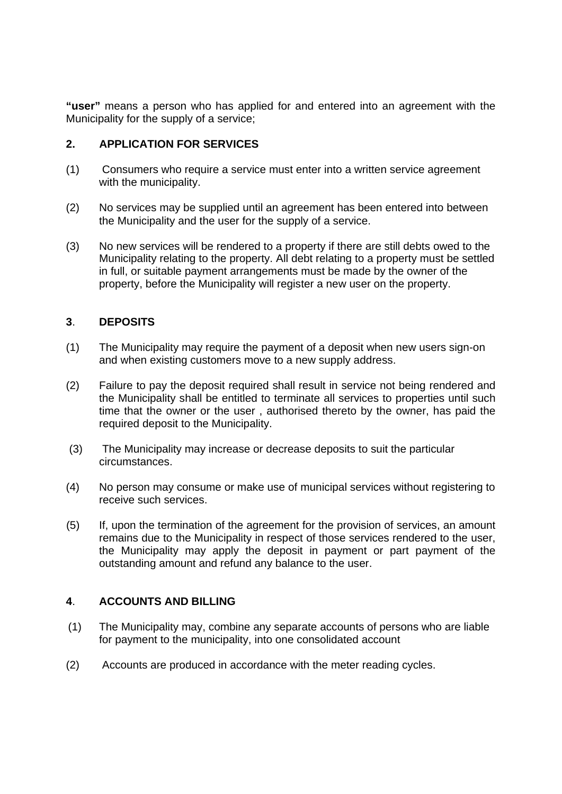**"user"** means a person who has applied for and entered into an agreement with the Municipality for the supply of a service;

### **2. APPLICATION FOR SERVICES**

- (1) Consumers who require a service must enter into a written service agreement with the municipality.
- (2) No services may be supplied until an agreement has been entered into between the Municipality and the user for the supply of a service.
- (3) No new services will be rendered to a property if there are still debts owed to the Municipality relating to the property. All debt relating to a property must be settled in full, or suitable payment arrangements must be made by the owner of the property, before the Municipality will register a new user on the property.

#### **3**. **DEPOSITS**

- (1)The Municipality may require the payment of a deposit when new users sign-on and when existing customers move to a new supply address.
- (2) Failure to pay the deposit required shall result in service not being rendered and the Municipality shall be entitled to terminate all services to properties until such time that the owner or the user , authorised thereto by the owner, has paid the required deposit to the Municipality.
- (3) The Municipality may increase or decrease deposits to suit the particular circumstances.
- (4) No person may consume or make use of municipal services without registering to receive such services.
- (5) If, upon the termination of the agreement for the provision of services, an amount remains due to the Municipality in respect of those services rendered to the user, the Municipality may apply the deposit in payment or part payment of the outstanding amount and refund any balance to the user.

#### **4**. **ACCOUNTS AND BILLING**

- (1) The Municipality may, combine any separate accounts of persons who are liable for payment to the municipality, into one consolidated account
- (2) Accounts are produced in accordance with the meter reading cycles.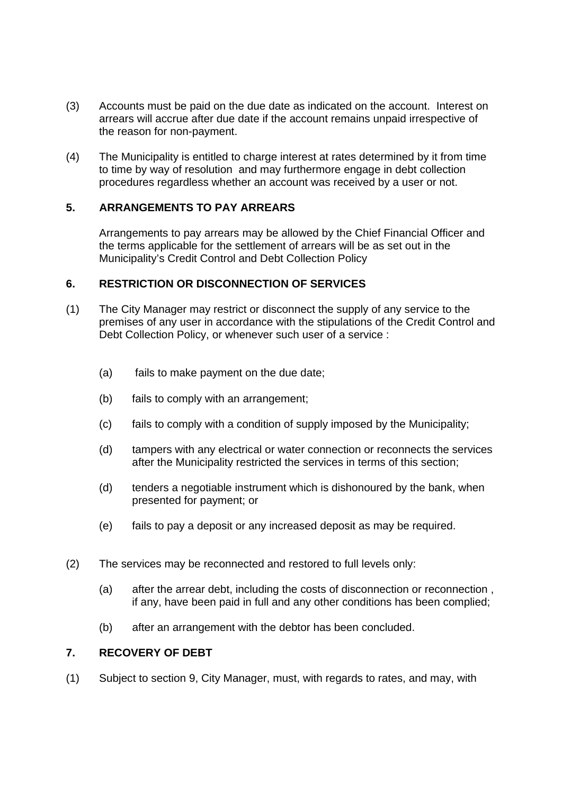- (3) Accounts must be paid on the due date as indicated on the account. Interest on arrears will accrue after due date if the account remains unpaid irrespective of the reason for non-payment.
- (4) The Municipality is entitled to charge interest at rates determined by it from time to time by way of resolution and may furthermore engage in debt collection procedures regardless whether an account was received by a user or not.

## **5. ARRANGEMENTS TO PAY ARREARS**

Arrangements to pay arrears may be allowed by the Chief Financial Officer and the terms applicable for the settlement of arrears will be as set out in the Municipality's Credit Control and Debt Collection Policy

#### **6. RESTRICTION OR DISCONNECTION OF SERVICES**

- (1) The City Manager may restrict or disconnect the supply of any service to the premises of any user in accordance with the stipulations of the Credit Control and Debt Collection Policy, or whenever such user of a service :
	- (a) fails to make payment on the due date;
	- (b) fails to comply with an arrangement;
	- (c) fails to comply with a condition of supply imposed by the Municipality;
	- (d) tampers with any electrical or water connection or reconnects the services after the Municipality restricted the services in terms of this section;
	- (d) tenders a negotiable instrument which is dishonoured by the bank, when presented for payment; or
	- (e) fails to pay a deposit or any increased deposit as may be required.
- (2) The services may be reconnected and restored to full levels only:
	- (a) after the arrear debt, including the costs of disconnection or reconnection , if any, have been paid in full and any other conditions has been complied;
	- (b) after an arrangement with the debtor has been concluded.

#### **7. RECOVERY OF DEBT**

(1) Subject to section 9, City Manager, must, with regards to rates, and may, with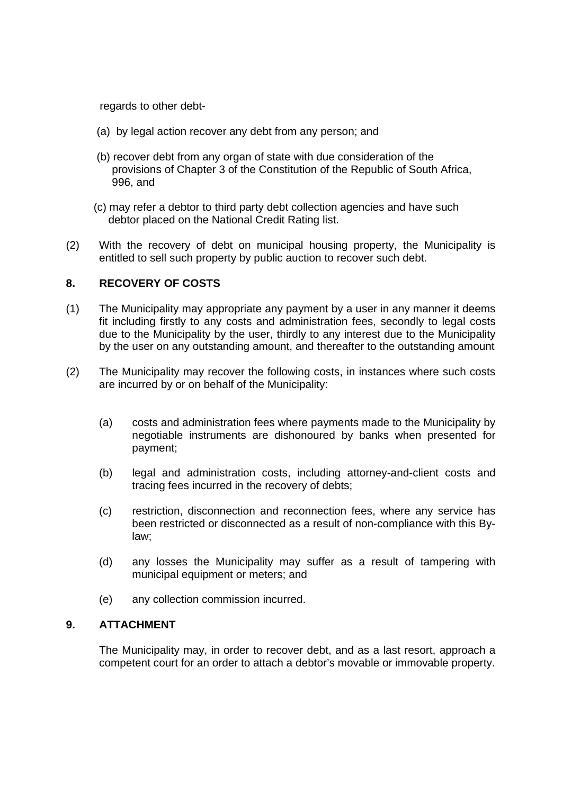regards to other debt-

- (a) by legal action recover any debt from any person; and
- (b) recover debt from any organ of state with due consideration of the provisions of Chapter 3 of the Constitution of the Republic of South Africa, 996, and
- (c) may refer a debtor to third party debt collection agencies and have such debtor placed on the National Credit Rating list.
- (2) With the recovery of debt on municipal housing property, the Municipality is entitled to sell such property by public auction to recover such debt.

## **8. RECOVERY OF COSTS**

- (1) The Municipality may appropriate any payment by a user in any manner it deems fit including firstly to any costs and administration fees, secondly to legal costs due to the Municipality by the user, thirdly to any interest due to the Municipality by the user on any outstanding amount, and thereafter to the outstanding amount
- (2) The Municipality may recover the following costs, in instances where such costs are incurred by or on behalf of the Municipality:
	- (a) costs and administration fees where payments made to the Municipality by negotiable instruments are dishonoured by banks when presented for payment;
	- (b) legal and administration costs, including attorney-and-client costs and tracing fees incurred in the recovery of debts;
	- (c) restriction, disconnection and reconnection fees, where any service has been restricted or disconnected as a result of non-compliance with this Bylaw;
	- (d) any losses the Municipality may suffer as a result of tampering with municipal equipment or meters; and
	- (e) any collection commission incurred.

#### **9. ATTACHMENT**

The Municipality may, in order to recover debt, and as a last resort, approach a competent court for an order to attach a debtor's movable or immovable property.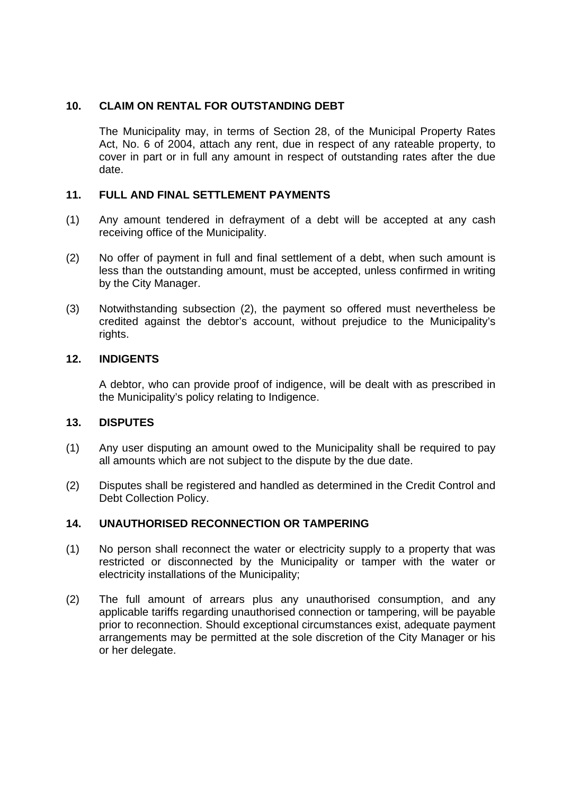## **10. CLAIM ON RENTAL FOR OUTSTANDING DEBT**

The Municipality may, in terms of Section 28, of the Municipal Property Rates Act, No. 6 of 2004, attach any rent, due in respect of any rateable property, to cover in part or in full any amount in respect of outstanding rates after the due date.

#### **11. FULL AND FINAL SETTLEMENT PAYMENTS**

- (1) Any amount tendered in defrayment of a debt will be accepted at any cash receiving office of the Municipality.
- (2) No offer of payment in full and final settlement of a debt, when such amount is less than the outstanding amount, must be accepted, unless confirmed in writing by the City Manager.
- (3) Notwithstanding subsection (2), the payment so offered must nevertheless be credited against the debtor's account, without prejudice to the Municipality's rights.

#### **12. INDIGENTS**

A debtor, who can provide proof of indigence, will be dealt with as prescribed in the Municipality's policy relating to Indigence.

#### **13. DISPUTES**

- (1) Any user disputing an amount owed to the Municipality shall be required to pay all amounts which are not subject to the dispute by the due date.
- (2) Disputes shall be registered and handled as determined in the Credit Control and Debt Collection Policy.

#### **14. UNAUTHORISED RECONNECTION OR TAMPERING**

- (1) No person shall reconnect the water or electricity supply to a property that was restricted or disconnected by the Municipality or tamper with the water or electricity installations of the Municipality;
- (2) The full amount of arrears plus any unauthorised consumption, and any applicable tariffs regarding unauthorised connection or tampering, will be payable prior to reconnection. Should exceptional circumstances exist, adequate payment arrangements may be permitted at the sole discretion of the City Manager or his or her delegate.